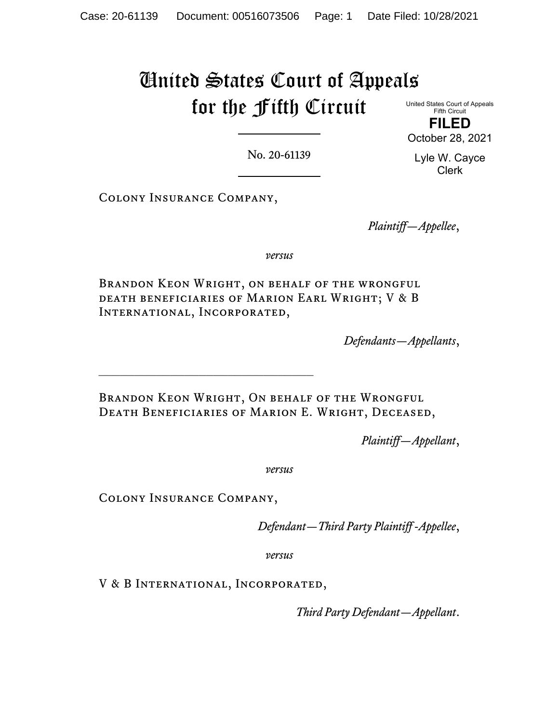# United States Court of Appeals for the Fifth Circuit

United States Court of Appeals Fifth Circuit **FILED**

October 28, 2021

No. 20-61139

Lyle W. Cayce Clerk

Colony Insurance Company,

*Plaintiff—Appellee*,

*versus*

Brandon Keon Wright, on behalf of the wrongful death beneficiaries of Marion Earl Wright; V & B International, Incorporated,

*Defendants—Appellants*,

Brandon Keon Wright, On behalf of the Wrongful Death Beneficiaries of Marion E. Wright, Deceased,

*Plaintiff—Appellant*,

*versus*

Colony Insurance Company,

\_\_\_\_\_\_\_\_\_\_\_\_\_\_\_\_\_\_\_\_\_\_\_\_\_\_\_\_\_\_

*Defendant—Third Party Plaintiff -Appellee*,

*versus*

V & B International, Incorporated,

*Third Party Defendant—Appellant*.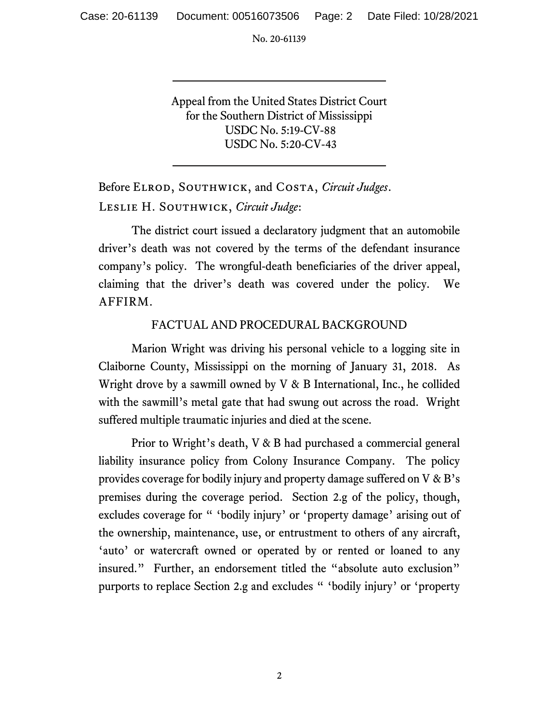Case: 20-61139 Document: 00516073506 Page: 2 Date Filed: 10/28/2021

No. 20-61139

Appeal from the United States District Court for the Southern District of Mississippi USDC No. 5:19-CV-88 USDC No. 5:20-CV-43

Before Elrod, Southwick, and Costa, *Circuit Judges*. Leslie H. Southwick, *Circuit Judge*:

The district court issued a declaratory judgment that an automobile driver's death was not covered by the terms of the defendant insurance company's policy. The wrongful-death beneficiaries of the driver appeal, claiming that the driver's death was covered under the policy. We AFFIRM.

# FACTUAL AND PROCEDURAL BACKGROUND

Marion Wright was driving his personal vehicle to a logging site in Claiborne County, Mississippi on the morning of January 31, 2018. As Wright drove by a sawmill owned by V & B International, Inc., he collided with the sawmill's metal gate that had swung out across the road. Wright suffered multiple traumatic injuries and died at the scene.

Prior to Wright's death, V & B had purchased a commercial general liability insurance policy from Colony Insurance Company. The policy provides coverage for bodily injury and property damage suffered on V & B's premises during the coverage period. Section 2.g of the policy, though, excludes coverage for " 'bodily injury' or 'property damage' arising out of the ownership, maintenance, use, or entrustment to others of any aircraft, 'auto' or watercraft owned or operated by or rented or loaned to any insured." Further, an endorsement titled the "absolute auto exclusion" purports to replace Section 2.g and excludes " 'bodily injury' or 'property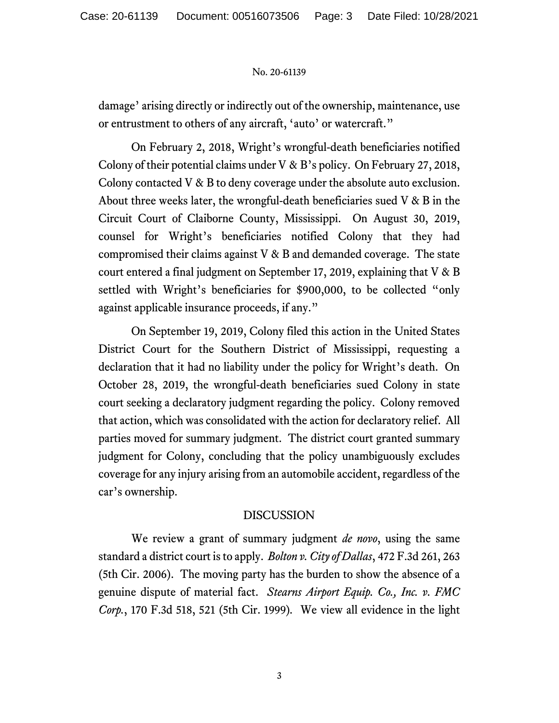damage' arising directly or indirectly out of the ownership, maintenance, use or entrustment to others of any aircraft, 'auto' or watercraft."

On February 2, 2018, Wright's wrongful-death beneficiaries notified Colony of their potential claims under V & B's policy. On February 27, 2018, Colony contacted V & B to deny coverage under the absolute auto exclusion. About three weeks later, the wrongful-death beneficiaries sued  $V \& B$  in the Circuit Court of Claiborne County, Mississippi. On August 30, 2019, counsel for Wright's beneficiaries notified Colony that they had compromised their claims against V & B and demanded coverage. The state court entered a final judgment on September 17, 2019, explaining that V & B settled with Wright's beneficiaries for \$900,000, to be collected "only against applicable insurance proceeds, if any."

On September 19, 2019, Colony filed this action in the United States District Court for the Southern District of Mississippi, requesting a declaration that it had no liability under the policy for Wright's death. On October 28, 2019, the wrongful-death beneficiaries sued Colony in state court seeking a declaratory judgment regarding the policy. Colony removed that action, which was consolidated with the action for declaratory relief. All parties moved for summary judgment. The district court granted summary judgment for Colony, concluding that the policy unambiguously excludes coverage for any injury arising from an automobile accident, regardless of the car's ownership.

# DISCUSSION

We review a grant of summary judgment *de novo*, using the same standard a district court is to apply. *Bolton v. City of Dallas*, 472 F.3d 261, 263 (5th Cir. 2006). The moving party has the burden to show the absence of a genuine dispute of material fact. *Stearns Airport Equip. Co., Inc. v. FMC Corp.*, 170 F.3d 518, 521 (5th Cir. 1999)*.* We view all evidence in the light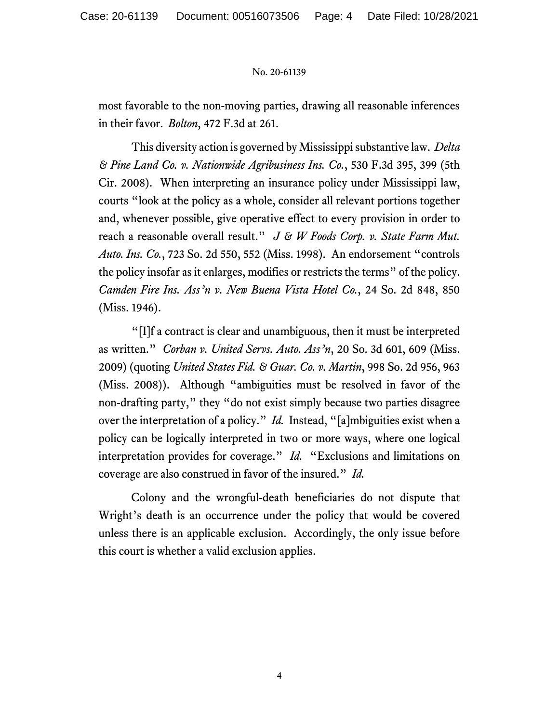most favorable to the non-moving parties, drawing all reasonable inferences in their favor. *Bolton*, 472 F.3d at 261.

This diversity action is governed by Mississippisubstantive law. *Delta & Pine Land Co. v. Nationwide Agribusiness Ins. Co.*, 530 F.3d 395, 399 (5th Cir. 2008). When interpreting an insurance policy under Mississippi law, courts "look at the policy as a whole, consider all relevant portions together and, whenever possible, give operative effect to every provision in order to reach a reasonable overall result." *J & W Foods Corp. v. State Farm Mut. Auto. Ins. Co.*, 723 So. 2d 550, 552 (Miss. 1998). An endorsement "controls the policy insofar as it enlarges, modifies or restricts the terms" of the policy. *Camden Fire Ins. Ass'n v. New Buena Vista Hotel Co.*, 24 So. 2d 848, 850 (Miss. 1946).

"[I]f a contract is clear and unambiguous, then it must be interpreted as written." *Corban v. United Servs. Auto. Ass'n*, 20 So. 3d 601, 609 (Miss. 2009) (quoting *United States Fid. & Guar. Co. v. Martin*, 998 So. 2d 956, 963 (Miss. 2008)). Although "ambiguities must be resolved in favor of the non-drafting party," they "do not exist simply because two parties disagree over the interpretation of a policy." *Id.* Instead, "[a]mbiguities exist when a policy can be logically interpreted in two or more ways, where one logical interpretation provides for coverage." *Id.* "Exclusions and limitations on coverage are also construed in favor of the insured." *Id.* 

Colony and the wrongful-death beneficiaries do not dispute that Wright's death is an occurrence under the policy that would be covered unless there is an applicable exclusion. Accordingly, the only issue before this court is whether a valid exclusion applies.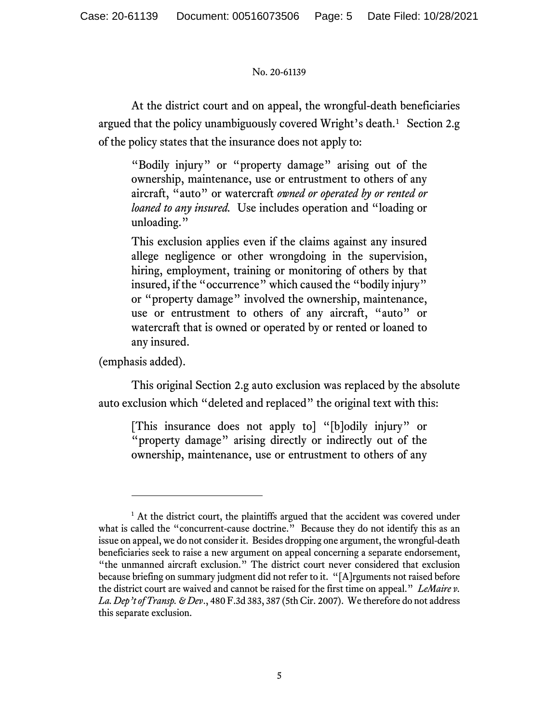At the district court and on appeal, the wrongful-death beneficiaries argued that the policy unambiguously covered Wright's death.<sup>[1](#page-4-0)</sup> Section 2.g of the policy states that the insurance does not apply to:

"Bodily injury" or "property damage" arising out of the ownership, maintenance, use or entrustment to others of any aircraft, "auto" or watercraft *owned or operated by or rented or loaned to any insured.* Use includes operation and "loading or unloading."

This exclusion applies even if the claims against any insured allege negligence or other wrongdoing in the supervision, hiring, employment, training or monitoring of others by that insured, if the "occurrence" which caused the "bodily injury" or "property damage" involved the ownership, maintenance, use or entrustment to others of any aircraft, "auto" or watercraft that is owned or operated by or rented or loaned to any insured.

(emphasis added).

This original Section 2.g auto exclusion was replaced by the absolute auto exclusion which "deleted and replaced" the original text with this:

[This insurance does not apply to] "[b]odily injury" or "property damage" arising directly or indirectly out of the ownership, maintenance, use or entrustment to others of any

<span id="page-4-0"></span><sup>&</sup>lt;sup>1</sup> At the district court, the plaintiffs argued that the accident was covered under what is called the "concurrent-cause doctrine." Because they do not identify this as an issue on appeal, we do not consider it. Besides dropping one argument, the wrongful-death beneficiaries seek to raise a new argument on appeal concerning a separate endorsement, "the unmanned aircraft exclusion." The district court never considered that exclusion because briefing on summary judgment did not refer to it. "[A]rguments not raised before the district court are waived and cannot be raised for the first time on appeal." *LeMaire v. La. Dep't of Transp. & Dev*., 480 F.3d 383, 387 (5th Cir. 2007). We therefore do not address this separate exclusion.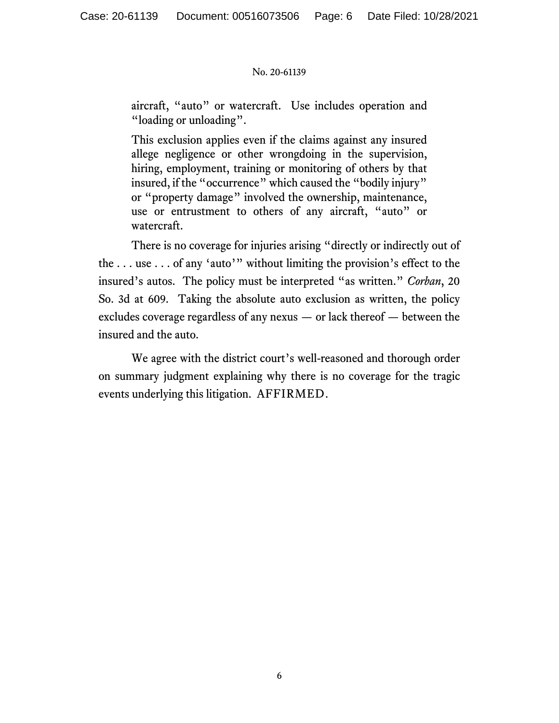aircraft, "auto" or watercraft. Use includes operation and "loading or unloading".

This exclusion applies even if the claims against any insured allege negligence or other wrongdoing in the supervision, hiring, employment, training or monitoring of others by that insured, if the "occurrence" which caused the "bodily injury" or "property damage" involved the ownership, maintenance, use or entrustment to others of any aircraft, "auto" or watercraft.

There is no coverage for injuries arising "directly or indirectly out of the . . . use . . . of any 'auto'" without limiting the provision's effect to the insured's autos. The policy must be interpreted "as written." *Corban*, 20 So. 3d at 609. Taking the absolute auto exclusion as written, the policy excludes coverage regardless of any nexus — or lack thereof — between the insured and the auto.

We agree with the district court's well-reasoned and thorough order on summary judgment explaining why there is no coverage for the tragic events underlying this litigation. AFFIRMED.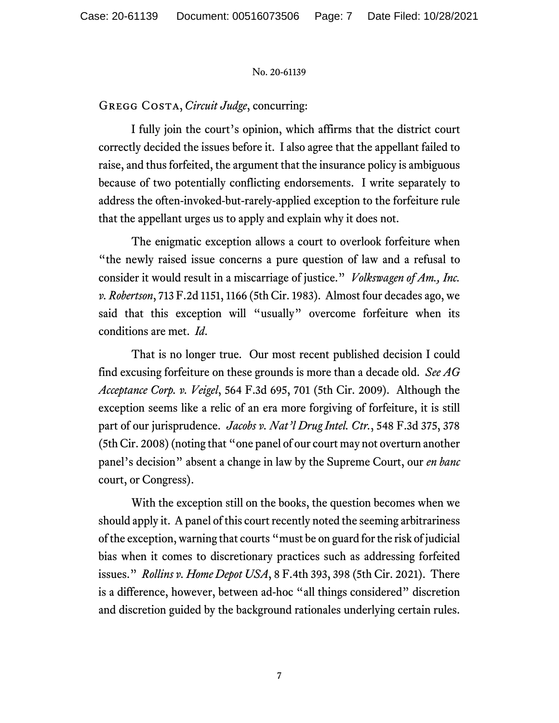# Gregg Costa, *Circuit Judge*, concurring:

I fully join the court's opinion, which affirms that the district court correctly decided the issues before it. I also agree that the appellant failed to raise, and thus forfeited, the argument that the insurance policy is ambiguous because of two potentially conflicting endorsements. I write separately to address the often-invoked-but-rarely-applied exception to the forfeiture rule that the appellant urges us to apply and explain why it does not.

The enigmatic exception allows a court to overlook forfeiture when "the newly raised issue concerns a pure question of law and a refusal to consider it would result in a miscarriage of justice." *Volkswagen of Am., Inc. v. Robertson*, 713 F.2d 1151, 1166 (5th Cir. 1983). Almost four decades ago, we said that this exception will "usually" overcome forfeiture when its conditions are met. *Id*.

That is no longer true. Our most recent published decision I could find excusing forfeiture on these grounds is more than a decade old. *See AG Acceptance Corp. v. Veigel*, 564 F.3d 695, 701 (5th Cir. 2009). Although the exception seems like a relic of an era more forgiving of forfeiture, it is still part of our jurisprudence. *Jacobs v. Nat'l Drug Intel. Ctr.*, 548 F.3d 375, 378 (5th Cir. 2008) (noting that "one panel of our court may not overturn another panel's decision" absent a change in law by the Supreme Court, our *en banc*  court, or Congress).

With the exception still on the books, the question becomes when we should apply it. A panel of this court recently noted the seeming arbitrariness of the exception, warning that courts "must be on guard for the risk of judicial bias when it comes to discretionary practices such as addressing forfeited issues." *Rollins v. Home Depot USA*, 8 F.4th 393, 398 (5th Cir. 2021). There is a difference, however, between ad-hoc "all things considered" discretion and discretion guided by the background rationales underlying certain rules.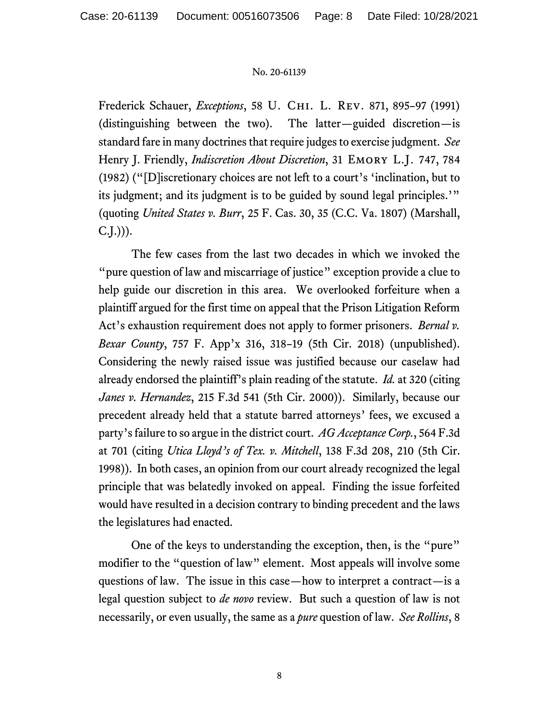Frederick Schauer, *Exceptions*, 58 U. Chi. L. Rev. 871, 895–97 (1991) (distinguishing between the two).The latter—guided discretion—is standard fare in many doctrines that require judges to exercise judgment. *See*  Henry J. Friendly, *Indiscretion About Discretion*, 31 EMORY L.J. 747, 784 (1982) ("[D]iscretionary choices are not left to a court's 'inclination, but to its judgment; and its judgment is to be guided by sound legal principles.'" (quoting *United States v. Burr*, 25 F. Cas. 30, 35 (C.C. Va. 1807) (Marshall,  $(C.J.))$ ).

The few cases from the last two decades in which we invoked the "pure question of law and miscarriage of justice" exception provide a clue to help guide our discretion in this area. We overlooked forfeiture when a plaintiff argued for the first time on appeal that the Prison Litigation Reform Act's exhaustion requirement does not apply to former prisoners. *Bernal v. Bexar County*, 757 F. App'x 316, 318–19 (5th Cir. 2018) (unpublished). Considering the newly raised issue was justified because our caselaw had already endorsed the plaintiff's plain reading of the statute. *Id.* at 320 (citing *Janes v. Hernandez*, 215 F.3d 541 (5th Cir. 2000)). Similarly, because our precedent already held that a statute barred attorneys' fees, we excused a party's failure to so argue in the district court. *AG Acceptance Corp.*, 564 F.3d at 701 (citing *Utica Lloyd's of Tex. v. Mitchell*, 138 F.3d 208, 210 (5th Cir. 1998)). In both cases, an opinion from our court already recognized the legal principle that was belatedly invoked on appeal. Finding the issue forfeited would have resulted in a decision contrary to binding precedent and the laws the legislatures had enacted.

One of the keys to understanding the exception, then, is the "pure" modifier to the "question of law" element. Most appeals will involve some questions of law. The issue in this case—how to interpret a contract—is a legal question subject to *de novo* review. But such a question of law is not necessarily, or even usually, the same as a *pure* question of law. *See Rollins*, 8